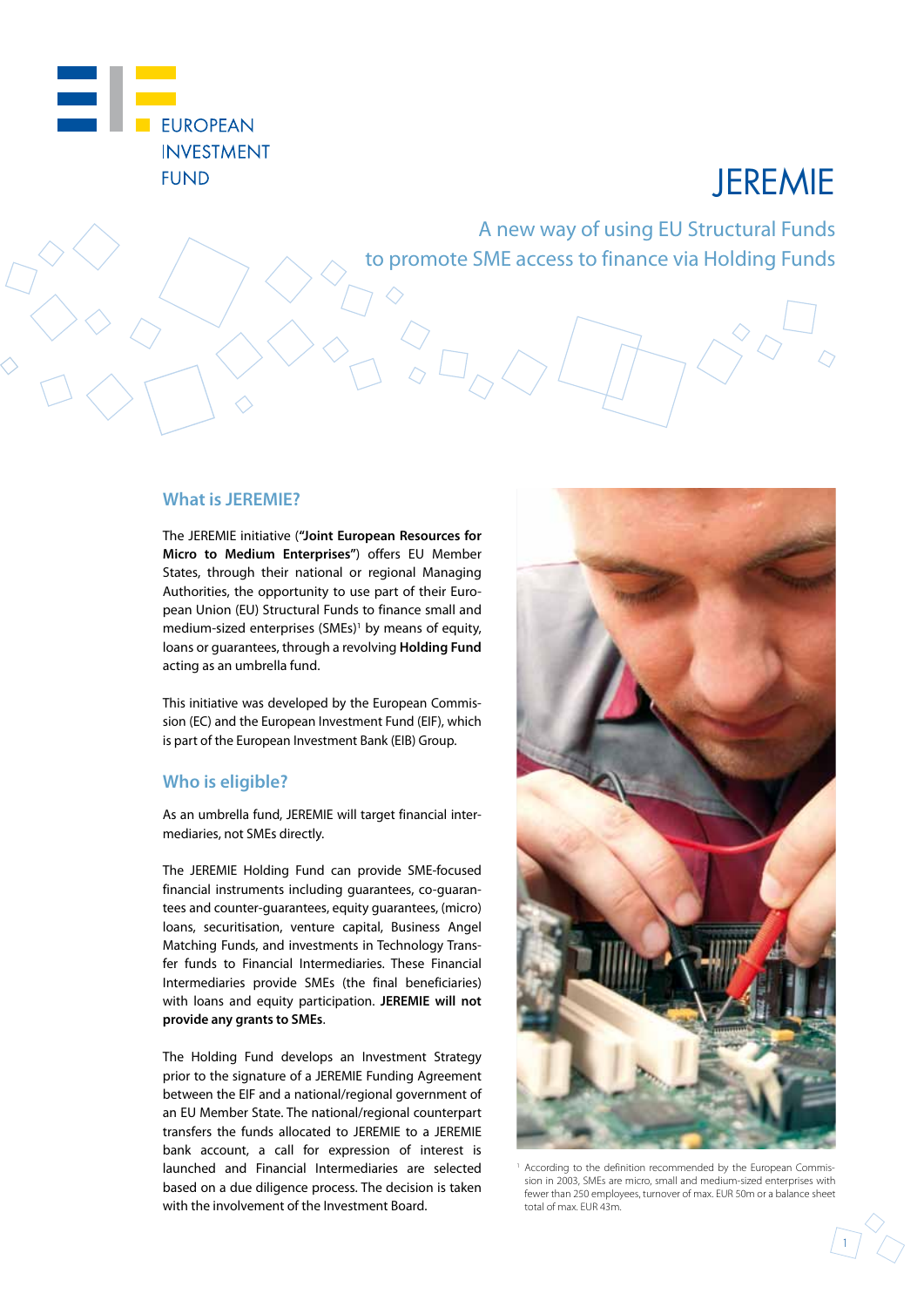

# JEREMIE

A new way of using EU Structural Funds to promote SME access to finance via Holding Funds

#### **What is JEREMIE?**

The JEREMIE initiative (**"Joint European Resources for Micro to Medium Enterprises"**) offers EU Member States, through their national or regional Managing Authorities, the opportunity to use part of their European Union (EU) Structural Funds to finance small and medium-sized enterprises (SMEs)<sup>1</sup> by means of equity, loans or guarantees, through a revolving **Holding Fund**  acting as an umbrella fund.

This initiative was developed by the European Commission (EC) and the European Investment Fund (EIF), which is part of the European Investment Bank (EIB) Group.

#### **Who is eligible?**

As an umbrella fund, JEREMIE will target financial intermediaries, not SMEs directly.

The JEREMIE Holding Fund can provide SME-focused financial instruments including guarantees, co-guarantees and counter-guarantees, equity guarantees, (micro) loans, securitisation, venture capital, Business Angel Matching Funds, and investments in Technology Transfer funds to Financial Intermediaries. These Financial Intermediaries provide SMEs (the final beneficiaries) with loans and equity participation. **JEREMIE will not provide any grants to SMEs**.

The Holding Fund develops an Investment Strategy prior to the signature of a JEREMIE Funding Agreement between the EIF and a national/regional government of an EU Member State. The national/regional counterpart transfers the funds allocated to JEREMIE to a JEREMIE bank account, a call for expression of interest is launched and Financial Intermediaries are selected based on a due diligence process. The decision is taken with the involvement of the Investment Board.



 According to the definition recommended by the European Commission in 2003, SMEs are micro, small and medium-sized enterprises with fewer than 250 employees, turnover of max. EUR 50m or a balance sheet total of max. EUR 43m.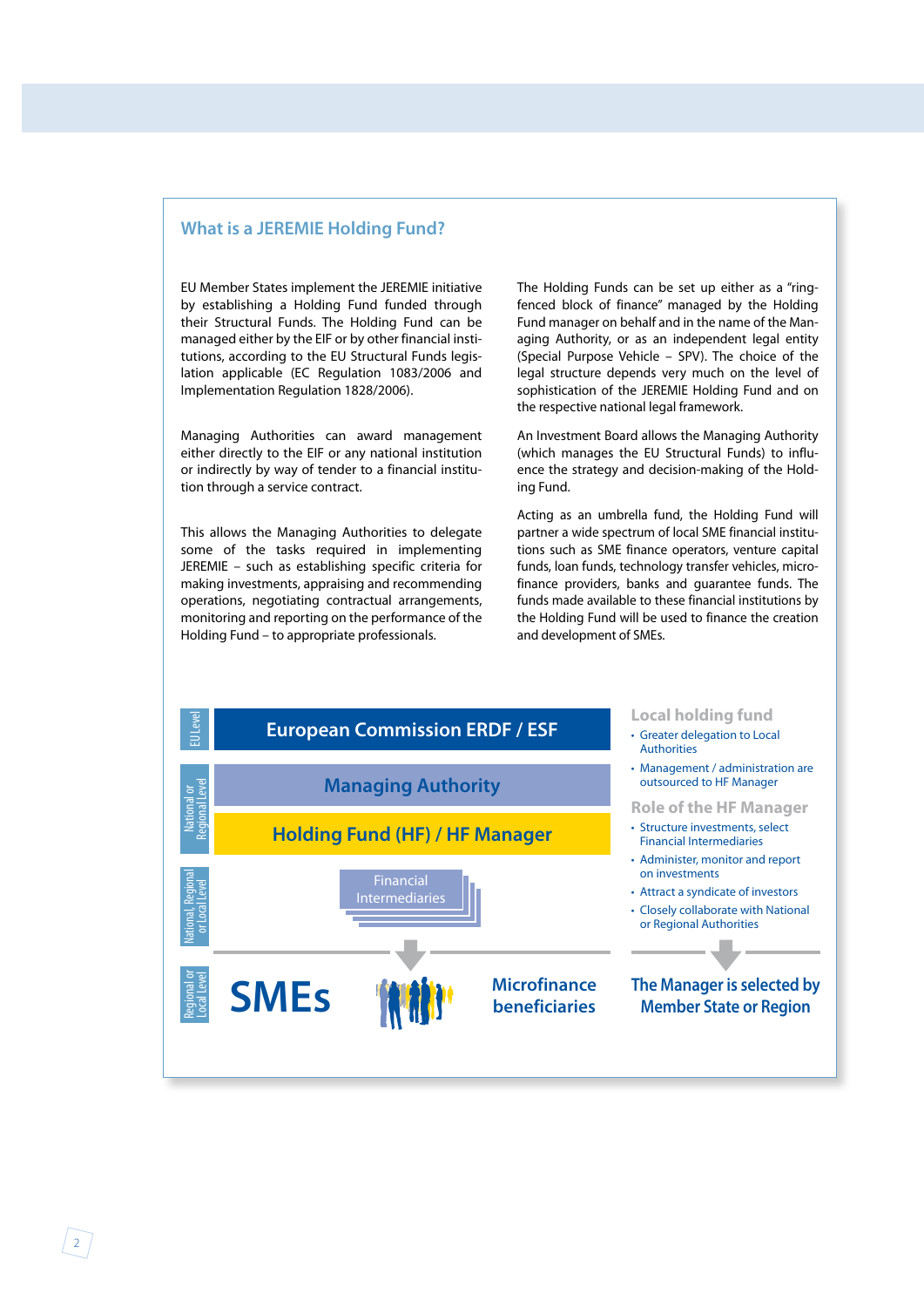#### **What is a JEREMIE Holding Fund?**

EU Member States implement the JEREMIE initiative by establishing a Holding Fund funded through their Structural Funds. The Holding Fund can be managed either by the EIF or by other financial institutions, according to the EU Structural Funds legislation applicable (EC Regulation 1083/2006 and Implementation Regulation 1828/2006).

Managing Authorities can award management either directly to the EIF or any national institution or indirectly by way of tender to a financial institution through a service contract.

This allows the Managing Authorities to delegate some of the tasks required in implementing JEREMIE – such as establishing specific criteria for making investments, appraising and recommending operations, negotiating contractual arrangements, monitoring and reporting on the performance of the Holding Fund – to appropriate professionals.

The Holding Funds can be set up either as a "ringfenced block of finance" managed by the Holding Fund manager on behalf and in the name of the Managing Authority, or as an independent legal entity (Special Purpose Vehicle – SPV). The choice of the legal structure depends very much on the level of sophistication of the JEREMIE Holding Fund and on the respective national legal framework.

An Investment Board allows the Managing Authority (which manages the EU Structural Funds) to influence the strategy and decision-making of the Holding Fund.

Acting as an umbrella fund, the Holding Fund will partner a wide spectrum of local SME financial institutions such as SME finance operators, venture capital funds, loan funds, technology transfer vehicles, microfinance providers, banks and guarantee funds. The funds made available to these financial institutions by the Holding Fund will be used to finance the creation and development of SMEs.

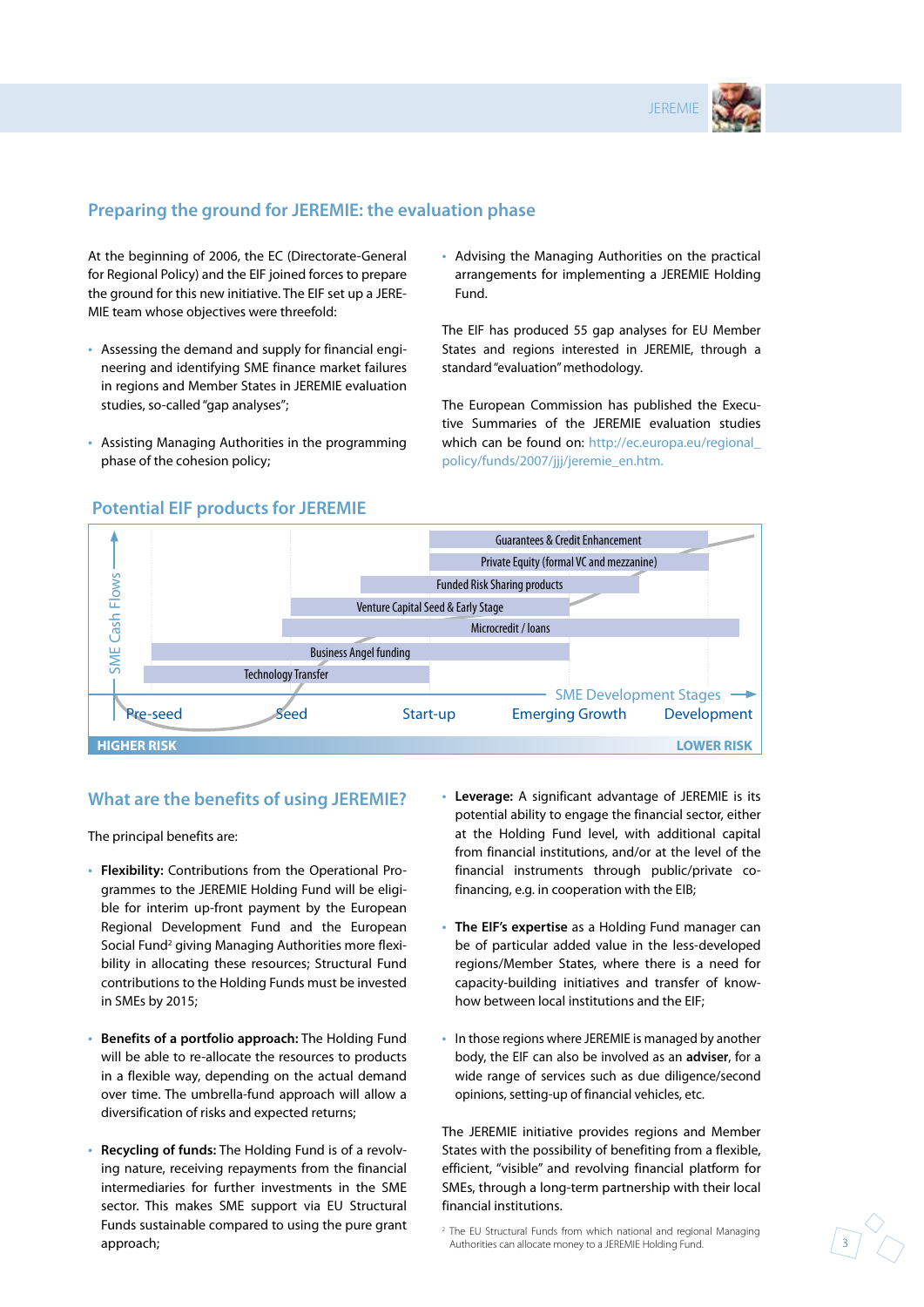

## **Preparing the ground for JEREMIE: the evaluation phase**

At the beginning of 2006, the EC (Directorate-General for Regional Policy) and the EIF joined forces to prepare the ground for this new initiative. The EIF set up a JERE-MIE team whose objectives were threefold:

- Assessing the demand and supply for financial engineering and identifying SME finance market failures in regions and Member States in JEREMIE evaluation studies, so-called "gap analyses";
- Assisting Managing Authorities in the programming phase of the cohesion policy;

• Advising the Managing Authorities on the practical arrangements for implementing a JEREMIE Holding Fund.

The EIF has produced 55 gap analyses for EU Member States and regions interested in JEREMIE, through a standard "evaluation" methodology.

The European Commission has published the Executive Summaries of the JEREMIE evaluation studies which can be found on: http://ec.europa.eu/regional policy/funds/2007/jjj/jeremie\_en.htm.



## **Potential EIF products for JEREMIE**

### **What are the benefits of using JEREMIE?**

The principal benefits are:

- **Flexibility:** Contributions from the Operational Programmes to the JEREMIE Holding Fund will be eligible for interim up-front payment by the European Regional Development Fund and the European Social Fund<sup>2</sup> giving Managing Authorities more flexibility in allocating these resources; Structural Fund contributions to the Holding Funds must be invested in SMEs by 2015;
- **Benefits of a portfolio approach:** The Holding Fund will be able to re-allocate the resources to products in a flexible way, depending on the actual demand over time. The umbrella-fund approach will allow a diversification of risks and expected returns;
- **Recycling of funds:** The Holding Fund is of a revolving nature, receiving repayments from the financial intermediaries for further investments in the SME sector. This makes SME support via EU Structural Funds sustainable compared to using the pure grant approach;
- **Leverage:** A significant advantage of JEREMIE is its potential ability to engage the financial sector, either at the Holding Fund level, with additional capital from financial institutions, and/or at the level of the financial instruments through public/private cofinancing, e.g. in cooperation with the EIB;
- **The EIF's expertise** as a Holding Fund manager can be of particular added value in the less-developed regions/Member States, where there is a need for capacity-building initiatives and transfer of knowhow between local institutions and the EIF;
- In those regions where JEREMIE is managed by another body, the EIF can also be involved as an **adviser**, for a wide range of services such as due diligence/second opinions, setting-up of financial vehicles, etc.

The JEREMIE initiative provides regions and Member States with the possibility of benefiting from a flexible, efficient, "visible" and revolving financial platform for SMEs, through a long-term partnership with their local financial institutions.

2 The EU Structural Funds from which national and regional Managing Authorities can allocate money to a JEREMIE Holding Fund.

3